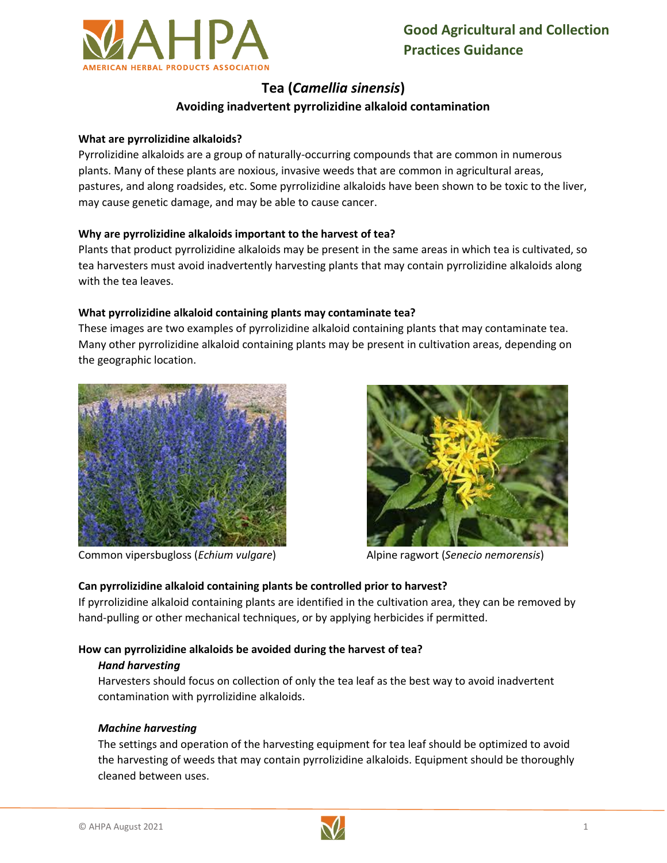

# **Tea (***Camellia sinensis***) Avoiding inadvertent pyrrolizidine alkaloid contamination**

#### **What are pyrrolizidine alkaloids?**

Pyrrolizidine alkaloids are a group of naturally-occurring compounds that are common in numerous plants. Many of these plants are noxious, invasive weeds that are common in agricultural areas, pastures, and along roadsides, etc. Some pyrrolizidine alkaloids have been shown to be toxic to the liver, may cause genetic damage, and may be able to cause cancer.

# **Why are pyrrolizidine alkaloids important to the harvest of tea?**

Plants that product pyrrolizidine alkaloids may be present in the same areas in which tea is cultivated, so tea harvesters must avoid inadvertently harvesting plants that may contain pyrrolizidine alkaloids along with the tea leaves.

# **What pyrrolizidine alkaloid containing plants may contaminate tea?**

These images are two examples of pyrrolizidine alkaloid containing plants that may contaminate tea. Many other pyrrolizidine alkaloid containing plants may be present in cultivation areas, depending on the geographic location.



Common vipersbugloss (*Echium vulgare*) Alpine ragwort (*Senecio nemorensis*)



# **Can pyrrolizidine alkaloid containing plants be controlled prior to harvest?**

If pyrrolizidine alkaloid containing plants are identified in the cultivation area, they can be removed by hand-pulling or other mechanical techniques, or by applying herbicides if permitted.

#### **How can pyrrolizidine alkaloids be avoided during the harvest of tea?**

#### *Hand harvesting*

Harvesters should focus on collection of only the tea leaf as the best way to avoid inadvertent contamination with pyrrolizidine alkaloids.

# *Machine harvesting*

The settings and operation of the harvesting equipment for tea leaf should be optimized to avoid the harvesting of weeds that may contain pyrrolizidine alkaloids. Equipment should be thoroughly cleaned between uses.